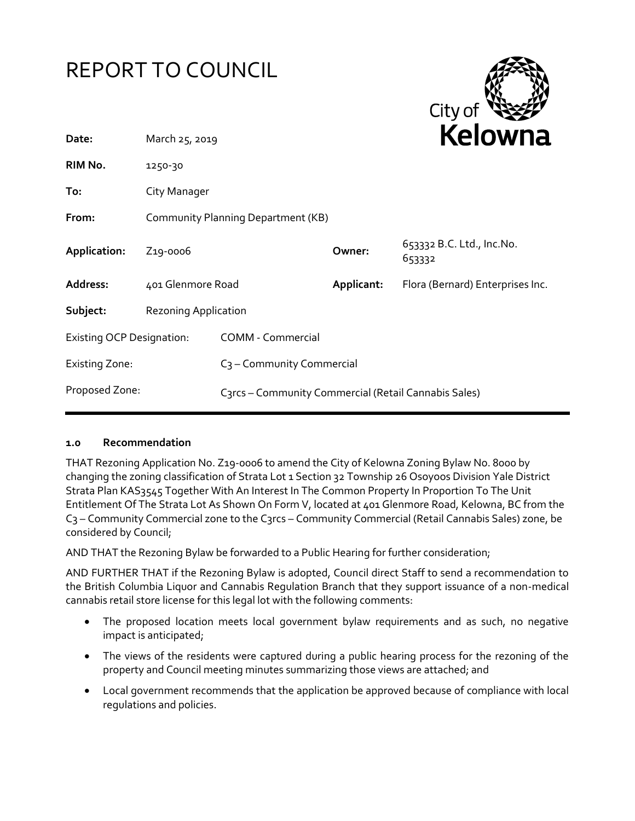



| Date:                            | March 25, 2019                     |                                                      |            | <b>NEIUWII</b> d                    |  |
|----------------------------------|------------------------------------|------------------------------------------------------|------------|-------------------------------------|--|
| RIM No.                          | 1250-30                            |                                                      |            |                                     |  |
| To:                              | City Manager                       |                                                      |            |                                     |  |
| From:                            | Community Planning Department (KB) |                                                      |            |                                     |  |
| Application:                     | Z <sub>19</sub> -0006              |                                                      | Owner:     | 653332 B.C. Ltd., Inc.No.<br>653332 |  |
| Address:                         | 401 Glenmore Road                  |                                                      | Applicant: | Flora (Bernard) Enterprises Inc.    |  |
| Subject:                         | <b>Rezoning Application</b>        |                                                      |            |                                     |  |
| <b>Existing OCP Designation:</b> |                                    | <b>COMM - Commercial</b>                             |            |                                     |  |
| <b>Existing Zone:</b>            |                                    | C <sub>3</sub> - Community Commercial                |            |                                     |  |
| Proposed Zone:                   |                                    | C3rcs - Community Commercial (Retail Cannabis Sales) |            |                                     |  |

#### **1.0 Recommendation**

THAT Rezoning Application No. Z19-0006 to amend the City of Kelowna Zoning Bylaw No. 8000 by changing the zoning classification of Strata Lot 1 Section 32 Township 26 Osoyoos Division Yale District Strata Plan KAS3545 Together With An Interest In The Common Property In Proportion To The Unit Entitlement Of The Strata Lot As Shown On Form V, located at 401 Glenmore Road, Kelowna, BC from the C<sub>3</sub> – Community Commercial zone to the C<sub>3</sub>rcs – Community Commercial (Retail Cannabis Sales) zone, be considered by Council;

AND THAT the Rezoning Bylaw be forwarded to a Public Hearing for further consideration;

AND FURTHER THAT if the Rezoning Bylaw is adopted, Council direct Staff to send a recommendation to the British Columbia Liquor and Cannabis Regulation Branch that they support issuance of a non-medical cannabis retail store license for this legal lot with the following comments:

- The proposed location meets local government bylaw requirements and as such, no negative impact is anticipated;
- The views of the residents were captured during a public hearing process for the rezoning of the property and Council meeting minutes summarizing those views are attached; and
- Local government recommends that the application be approved because of compliance with local regulations and policies.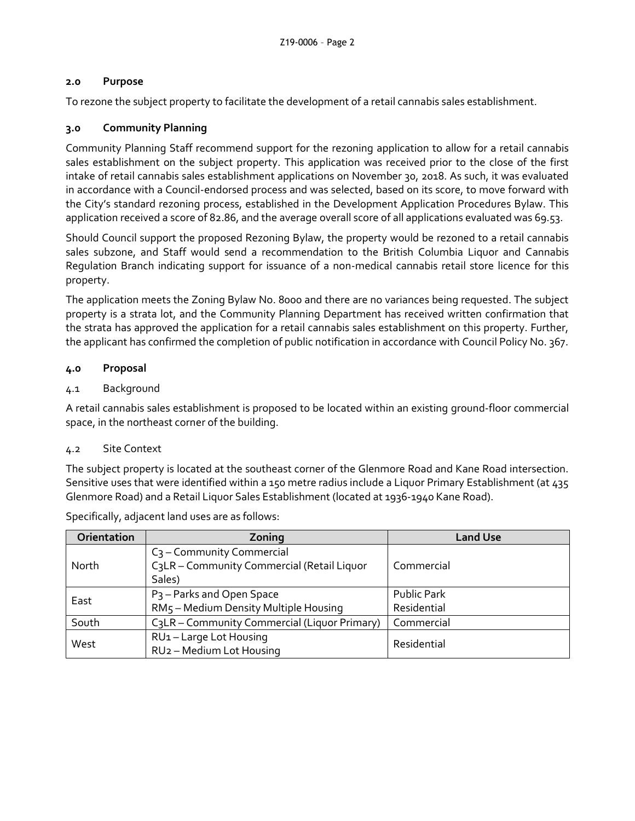## **2.0 Purpose**

To rezone the subject property to facilitate the development of a retail cannabis sales establishment.

## **3.0 Community Planning**

Community Planning Staff recommend support for the rezoning application to allow for a retail cannabis sales establishment on the subject property. This application was received prior to the close of the first intake of retail cannabis sales establishment applications on November 30, 2018. As such, it was evaluated in accordance with a Council-endorsed process and was selected, based on its score, to move forward with the City's standard rezoning process, established in the Development Application Procedures Bylaw. This application received a score of 82.86, and the average overall score of all applications evaluated was 69.53.

Should Council support the proposed Rezoning Bylaw, the property would be rezoned to a retail cannabis sales subzone, and Staff would send a recommendation to the British Columbia Liquor and Cannabis Regulation Branch indicating support for issuance of a non-medical cannabis retail store licence for this property.

The application meets the Zoning Bylaw No. 8000 and there are no variances being requested. The subject property is a strata lot, and the Community Planning Department has received written confirmation that the strata has approved the application for a retail cannabis sales establishment on this property. Further, the applicant has confirmed the completion of public notification in accordance with Council Policy No. 367.

### **4.0 Proposal**

### 4.1 Background

A retail cannabis sales establishment is proposed to be located within an existing ground-floor commercial space, in the northeast corner of the building.

#### 4.2 Site Context

The subject property is located at the southeast corner of the Glenmore Road and Kane Road intersection. Sensitive uses that were identified within a 150 metre radius include a Liquor Primary Establishment (at 435 Glenmore Road) and a Retail Liquor Sales Establishment (located at 1936-1940 Kane Road).

| Orientation | Zoning                                                                               | <b>Land Use</b>                   |
|-------------|--------------------------------------------------------------------------------------|-----------------------------------|
| North       | $C_3$ – Community Commercial<br>C3LR - Community Commercial (Retail Liquor<br>Sales) | Commercial                        |
| East        | P <sub>3</sub> – Parks and Open Space<br>RM5 - Medium Density Multiple Housing       | <b>Public Park</b><br>Residential |
| South       | C3LR - Community Commercial (Liquor Primary)                                         | Commercial                        |
| West        | RU1-Large Lot Housing<br>RU <sub>2</sub> - Medium Lot Housing                        | Residential                       |

Specifically, adjacent land uses are as follows: